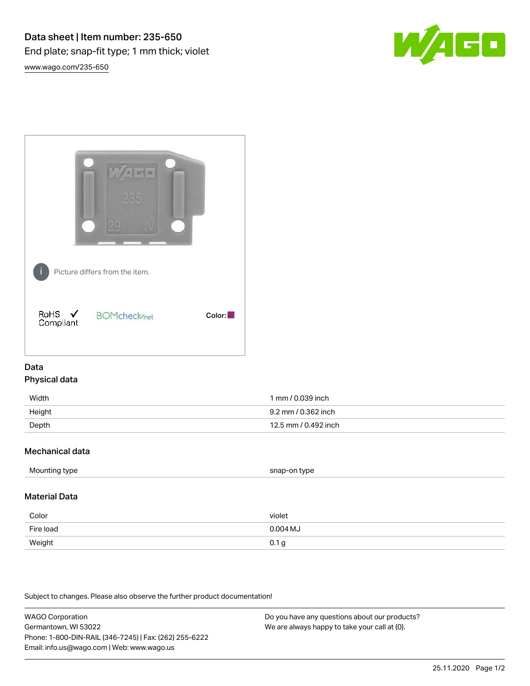

[www.wago.com/235-650](http://www.wago.com/235-650)



# Data Physical data

| Width  | 1 mm / 0.039 inch    |
|--------|----------------------|
| Height | 9.2 mm / 0.362 inch  |
| Depth  | 12.5 mm / 0.492 inch |

## Mechanical data

| Mounting type | snap-on type |
|---------------|--------------|
|               |              |

## Material Data

| Color     | violet     |
|-----------|------------|
| Fire load | $0.004$ MJ |
| Weight    | 0.1 g      |

Subject to changes. Please also observe the further product documentation!

WAGO Corporation Germantown, WI 53022 Phone: 1-800-DIN-RAIL (346-7245) | Fax: (262) 255-6222 Email: info.us@wago.com | Web: www.wago.us

Do you have any questions about our products? We are always happy to take your call at {0}.